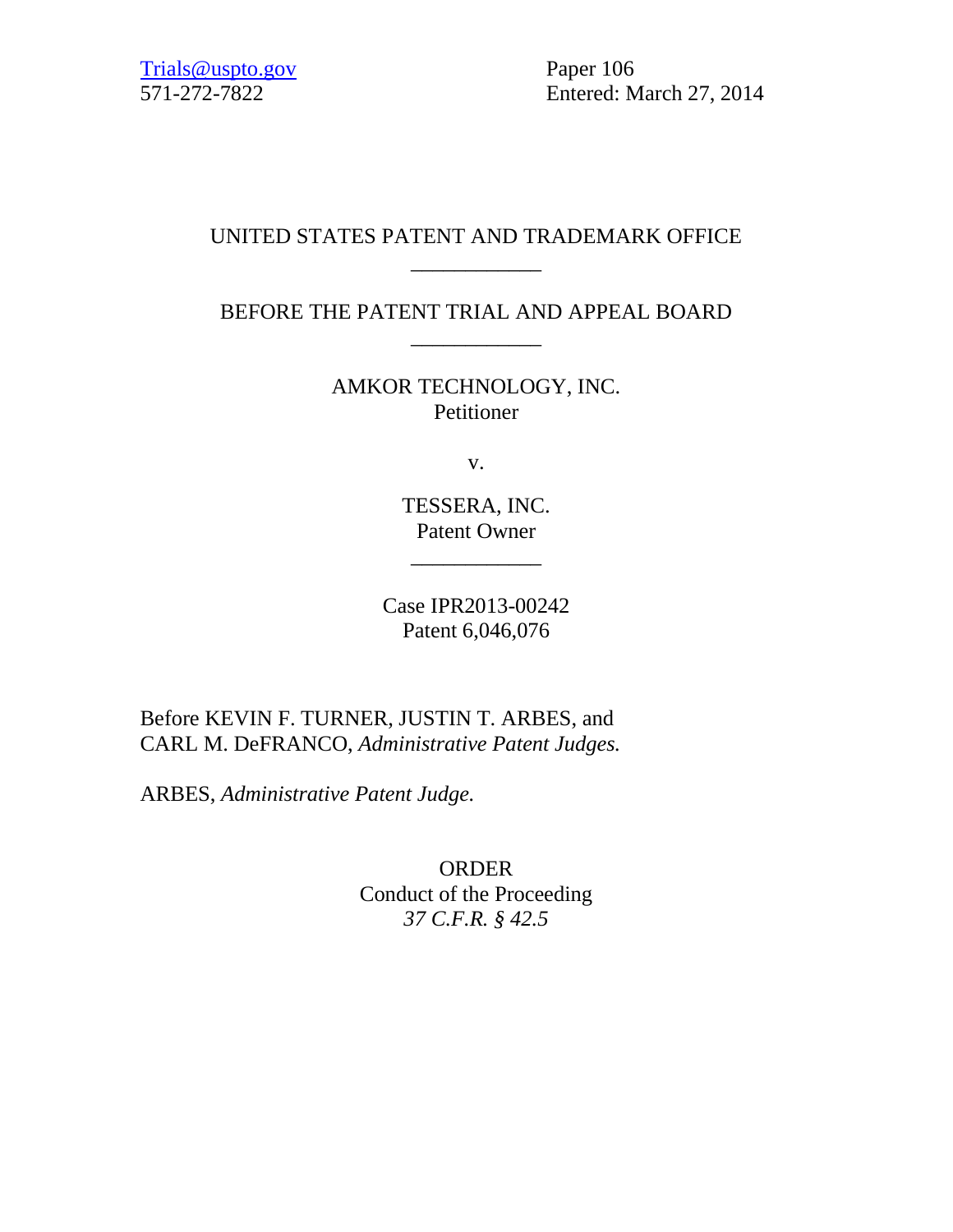571-272-7822 Entered: March 27, 2014

## UNITED STATES PATENT AND TRADEMARK OFFICE \_\_\_\_\_\_\_\_\_\_\_\_

BEFORE THE PATENT TRIAL AND APPEAL BOARD \_\_\_\_\_\_\_\_\_\_\_\_

> AMKOR TECHNOLOGY, INC. Petitioner

> > v.

TESSERA, INC. Patent Owner

 $\overline{\phantom{a}}$  , where  $\overline{\phantom{a}}$ 

Case IPR2013-00242 Patent 6,046,076

Before KEVIN F. TURNER, JUSTIN T. ARBES, and CARL M. DeFRANCO, *Administrative Patent Judges.*

ARBES, *Administrative Patent Judge.*

ORDER Conduct of the Proceeding *37 C.F.R. § 42.5*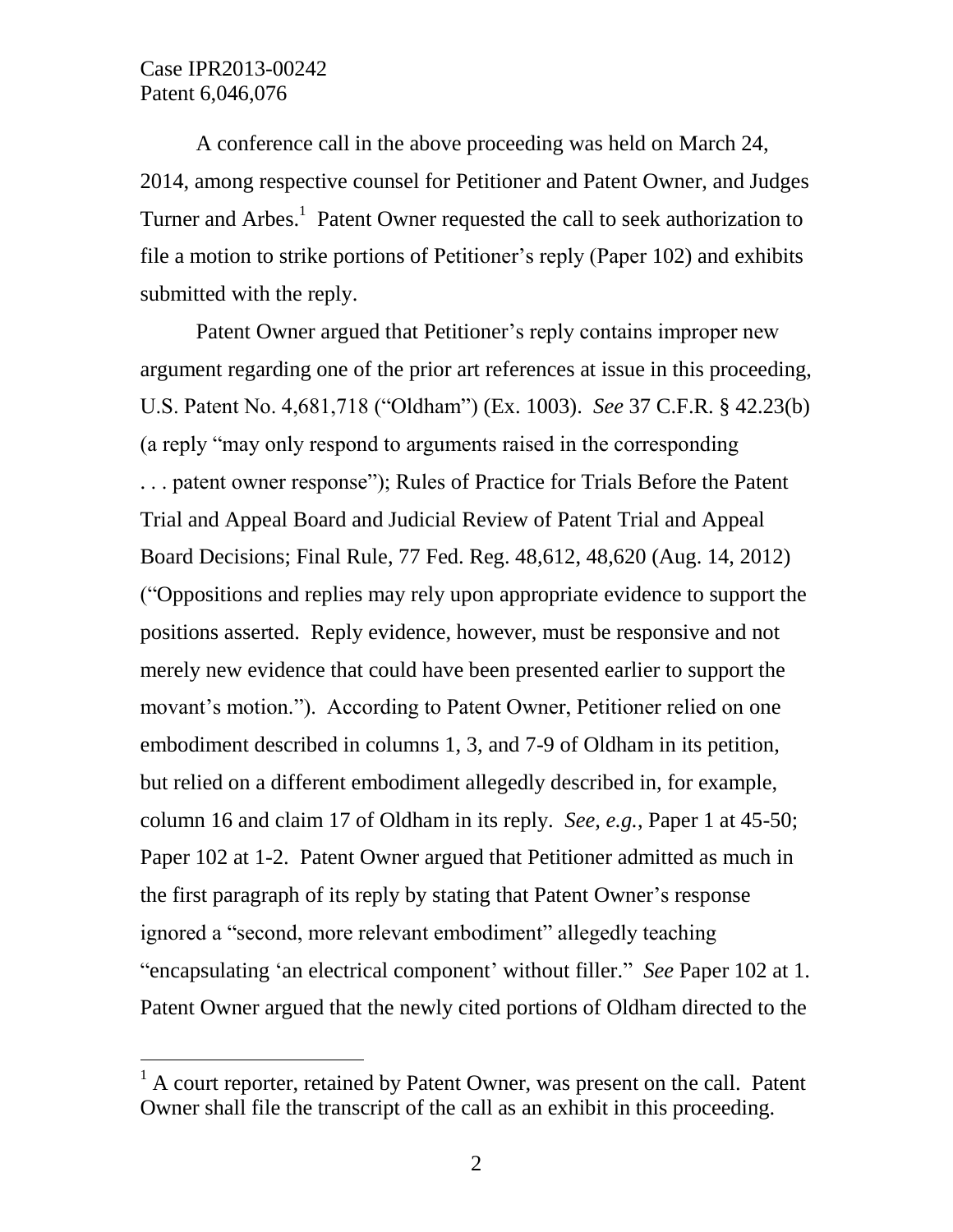$\overline{a}$ 

A conference call in the above proceeding was held on March 24, 2014, among respective counsel for Petitioner and Patent Owner, and Judges Turner and Arbes.<sup>1</sup> Patent Owner requested the call to seek authorization to file a motion to strike portions of Petitioner"s reply (Paper 102) and exhibits submitted with the reply.

Patent Owner argued that Petitioner"s reply contains improper new argument regarding one of the prior art references at issue in this proceeding, U.S. Patent No. 4,681,718 ("Oldham") (Ex. 1003). *See* 37 C.F.R. § 42.23(b) (a reply "may only respond to arguments raised in the corresponding . . . patent owner response"); Rules of Practice for Trials Before the Patent Trial and Appeal Board and Judicial Review of Patent Trial and Appeal Board Decisions; Final Rule, 77 Fed. Reg. 48,612, 48,620 (Aug. 14, 2012) ("Oppositions and replies may rely upon appropriate evidence to support the positions asserted. Reply evidence, however, must be responsive and not merely new evidence that could have been presented earlier to support the movant's motion."). According to Patent Owner, Petitioner relied on one embodiment described in columns 1, 3, and 7-9 of Oldham in its petition, but relied on a different embodiment allegedly described in, for example, column 16 and claim 17 of Oldham in its reply. *See, e.g.*, Paper 1 at 45-50; Paper 102 at 1-2. Patent Owner argued that Petitioner admitted as much in the first paragraph of its reply by stating that Patent Owner"s response ignored a "second, more relevant embodiment" allegedly teaching "encapsulating "an electrical component" without filler." *See* Paper 102 at 1. Patent Owner argued that the newly cited portions of Oldham directed to the

 $<sup>1</sup>$  A court reporter, retained by Patent Owner, was present on the call. Patent</sup> Owner shall file the transcript of the call as an exhibit in this proceeding.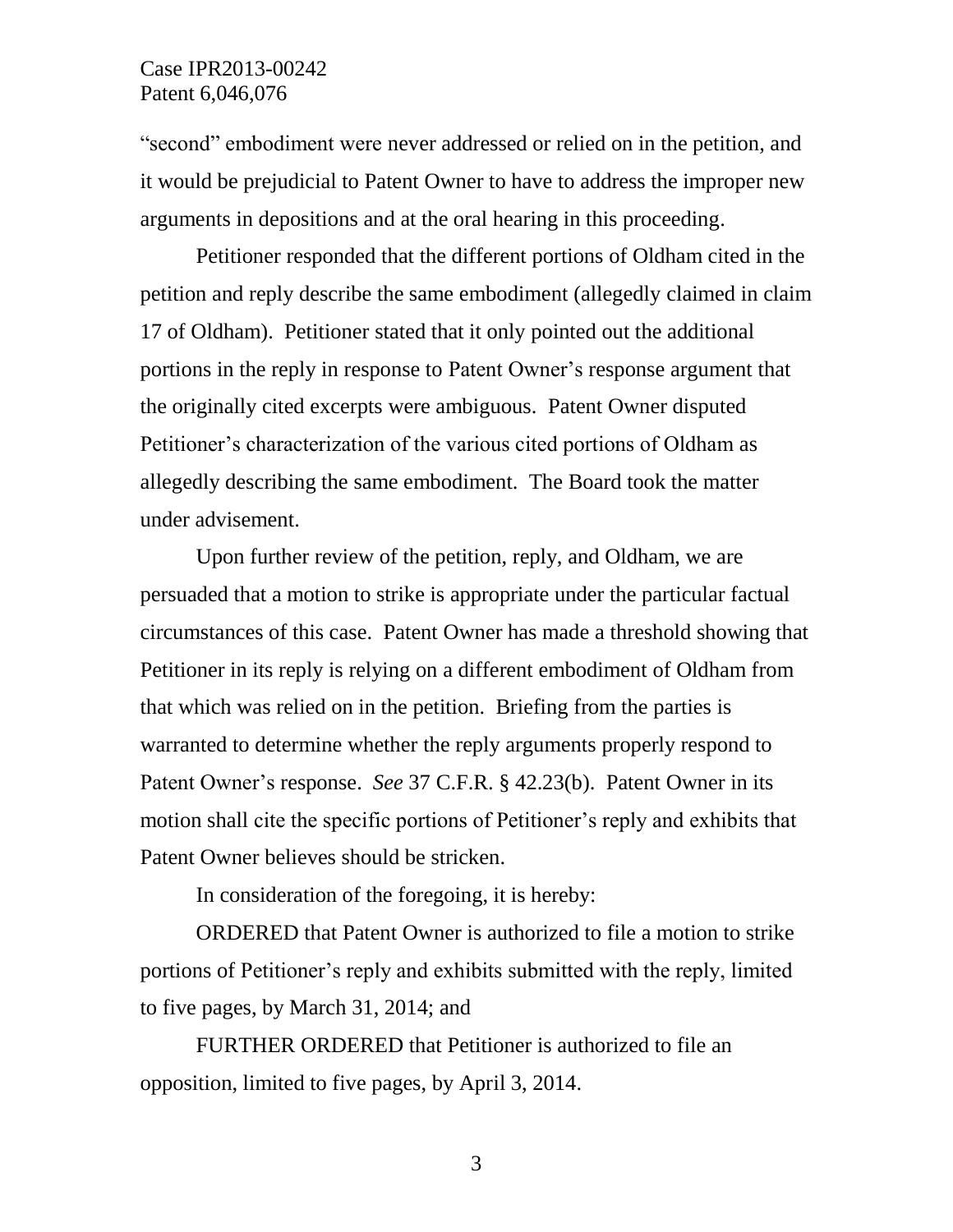## Case IPR2013-00242 Patent 6,046,076

"second" embodiment were never addressed or relied on in the petition, and it would be prejudicial to Patent Owner to have to address the improper new arguments in depositions and at the oral hearing in this proceeding.

Petitioner responded that the different portions of Oldham cited in the petition and reply describe the same embodiment (allegedly claimed in claim 17 of Oldham). Petitioner stated that it only pointed out the additional portions in the reply in response to Patent Owner"s response argument that the originally cited excerpts were ambiguous. Patent Owner disputed Petitioner"s characterization of the various cited portions of Oldham as allegedly describing the same embodiment. The Board took the matter under advisement.

Upon further review of the petition, reply, and Oldham, we are persuaded that a motion to strike is appropriate under the particular factual circumstances of this case. Patent Owner has made a threshold showing that Petitioner in its reply is relying on a different embodiment of Oldham from that which was relied on in the petition. Briefing from the parties is warranted to determine whether the reply arguments properly respond to Patent Owner"s response. *See* 37 C.F.R. § 42.23(b). Patent Owner in its motion shall cite the specific portions of Petitioner"s reply and exhibits that Patent Owner believes should be stricken.

In consideration of the foregoing, it is hereby:

ORDERED that Patent Owner is authorized to file a motion to strike portions of Petitioner"s reply and exhibits submitted with the reply, limited to five pages, by March 31, 2014; and

FURTHER ORDERED that Petitioner is authorized to file an opposition, limited to five pages, by April 3, 2014.

3